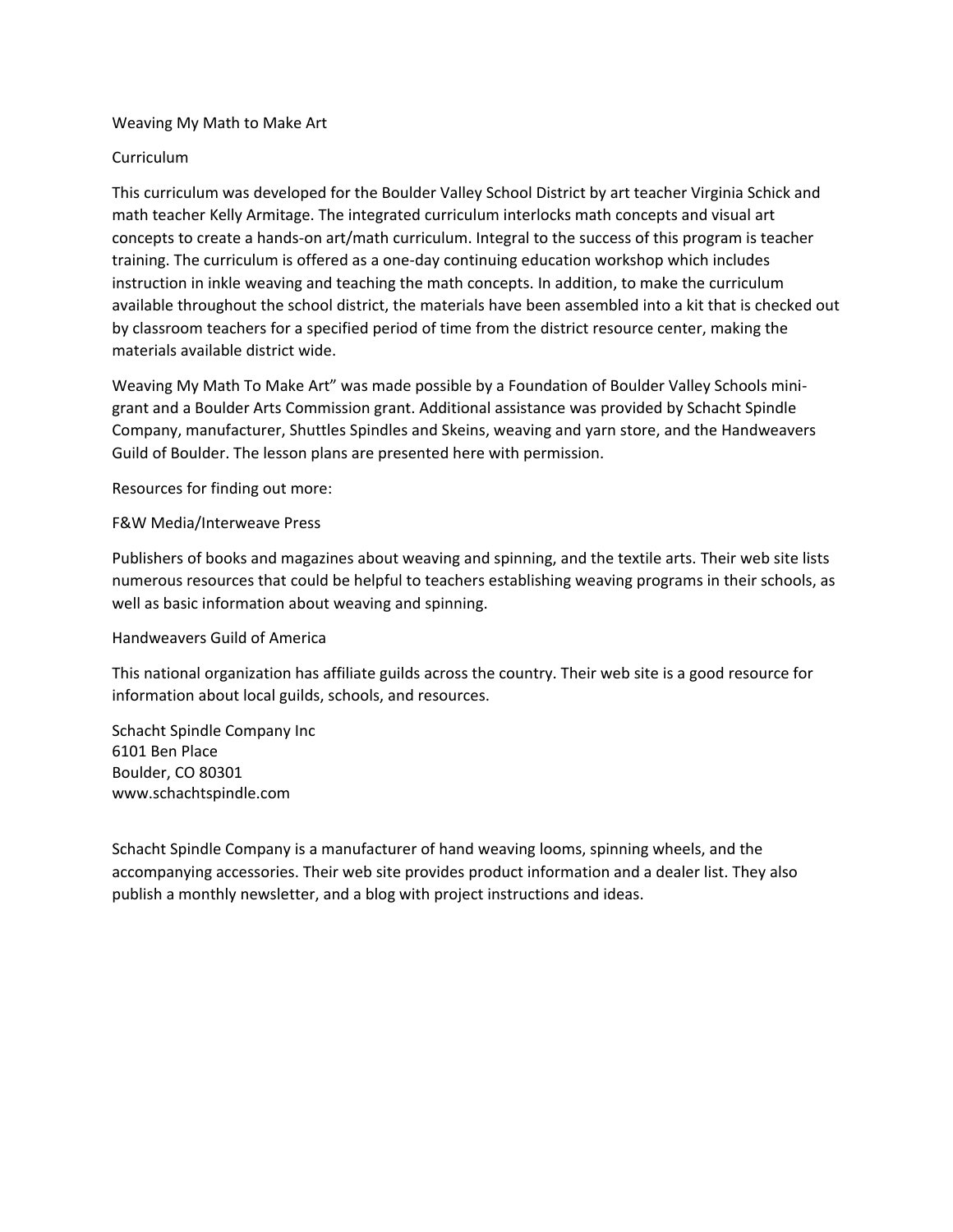#### Weaving My Math to Make Art

#### Curriculum

This curriculum was developed for the Boulder Valley School District by art teacher Virginia Schick and math teacher Kelly Armitage. The integrated curriculum interlocks math concepts and visual art concepts to create a hands-on art/math curriculum. Integral to the success of this program is teacher training. The curriculum is offered as a one-day continuing education workshop which includes instruction in inkle weaving and teaching the math concepts. In addition, to make the curriculum available throughout the school district, the materials have been assembled into a kit that is checked out by classroom teachers for a specified period of time from the district resource center, making the materials available district wide.

Weaving My Math To Make Art" was made possible by a Foundation of Boulder Valley Schools minigrant and a Boulder Arts Commission grant. Additional assistance was provided by Schacht Spindle Company, manufacturer, Shuttles Spindles and Skeins, weaving and yarn store, and the Handweavers Guild of Boulder. The lesson plans are presented here with permission.

Resources for finding out more:

#### F&W Media/Interweave Press

Publishers of books and magazines about weaving and spinning, and the textile arts. Their web site lists numerous resources that could be helpful to teachers establishing weaving programs in their schools, as well as basic information about weaving and spinning.

#### Handweavers Guild of America

This national organization has affiliate guilds across the country. Their web site is a good resource for information about local guilds, schools, and resources.

Schacht Spindle Company Inc 6101 Ben Place Boulder, CO 80301 www.schachtspindle.com

Schacht Spindle Company is a manufacturer of hand weaving looms, spinning wheels, and the accompanying accessories. Their web site provides product information and a dealer list. They also publish a monthly newsletter, and a blog with project instructions and ideas.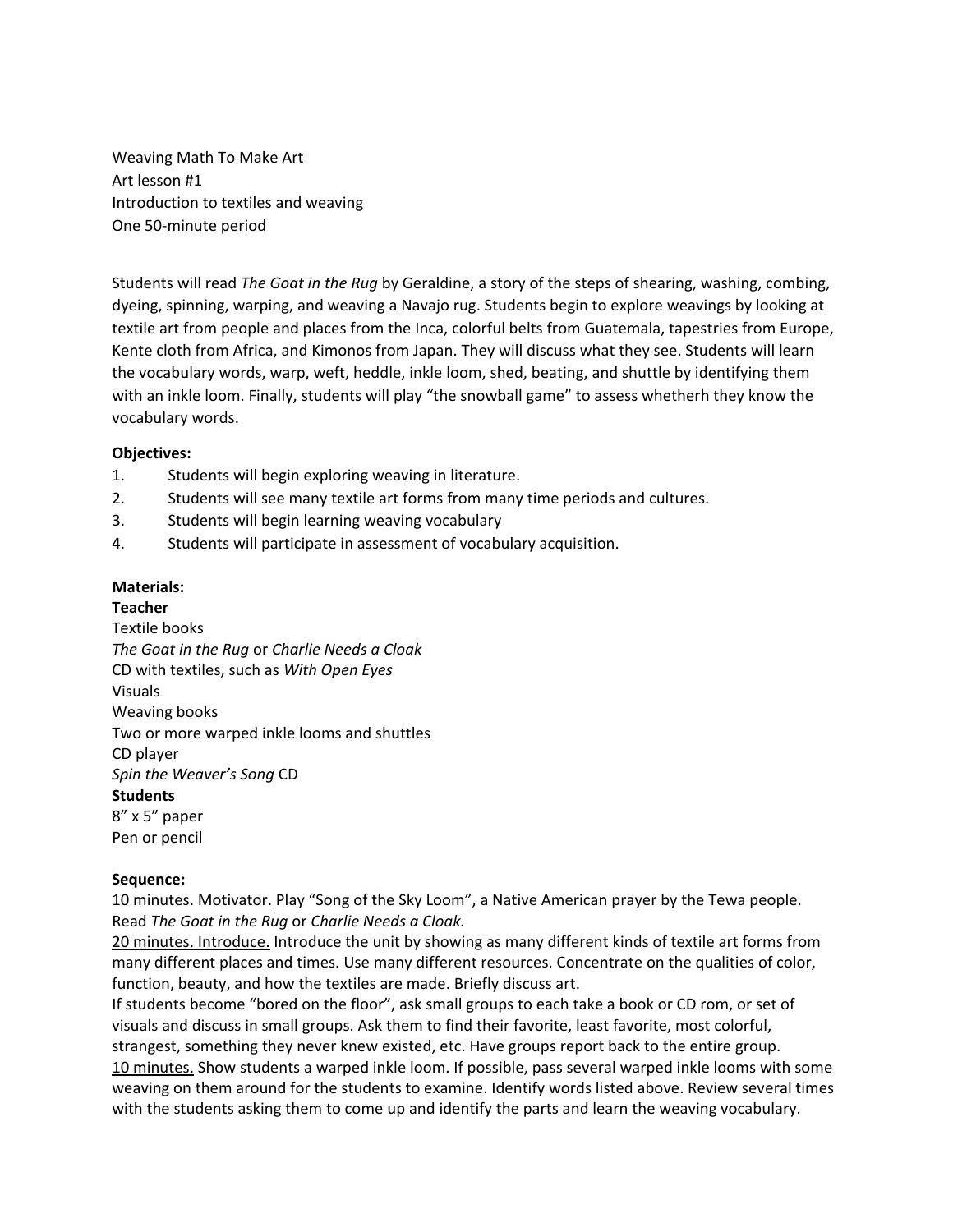Weaving Math To Make Art Art lesson #1 Introduction to textiles and weaving One 50-minute period

Students will read *The Goat in the Rug* by Geraldine, a story of the steps of shearing, washing, combing, dyeing, spinning, warping, and weaving a Navajo rug. Students begin to explore weavings by looking at textile art from people and places from the Inca, colorful belts from Guatemala, tapestries from Europe, Kente cloth from Africa, and Kimonos from Japan. They will discuss what they see. Students will learn the vocabulary words, warp, weft, heddle, inkle loom, shed, beating, and shuttle by identifying them with an inkle loom. Finally, students will play "the snowball game" to assess whetherh they know the vocabulary words.

## **Objectives:**

- 1. Students will begin exploring weaving in literature.
- 2. Students will see many textile art forms from many time periods and cultures.
- 3. Students will begin learning weaving vocabulary
- 4. Students will participate in assessment of vocabulary acquisition.

## **Materials:**

**Teacher**  Textile books *The Goat in the Rug* or *Charlie Needs a Cloak* CD with textiles, such as *With Open Eyes* Visuals Weaving books Two or more warped inkle looms and shuttles CD player *Spin the Weaver's Song* CD **Students**  8" x 5" paper Pen or pencil

#### **Sequence:**

10 minutes. Motivator. Play "Song of the Sky Loom", a Native American prayer by the Tewa people. Read *The Goat in the Rug* or *Charlie Needs a Cloak.* 

20 minutes. Introduce. Introduce the unit by showing as many different kinds of textile art forms from many different places and times. Use many different resources. Concentrate on the qualities of color, function, beauty, and how the textiles are made. Briefly discuss art.

If students become "bored on the floor", ask small groups to each take a book or CD rom, or set of visuals and discuss in small groups. Ask them to find their favorite, least favorite, most colorful, strangest, something they never knew existed, etc. Have groups report back to the entire group. 10 minutes. Show students a warped inkle loom. If possible, pass several warped inkle looms with some weaving on them around for the students to examine. Identify words listed above. Review several times with the students asking them to come up and identify the parts and learn the weaving vocabulary.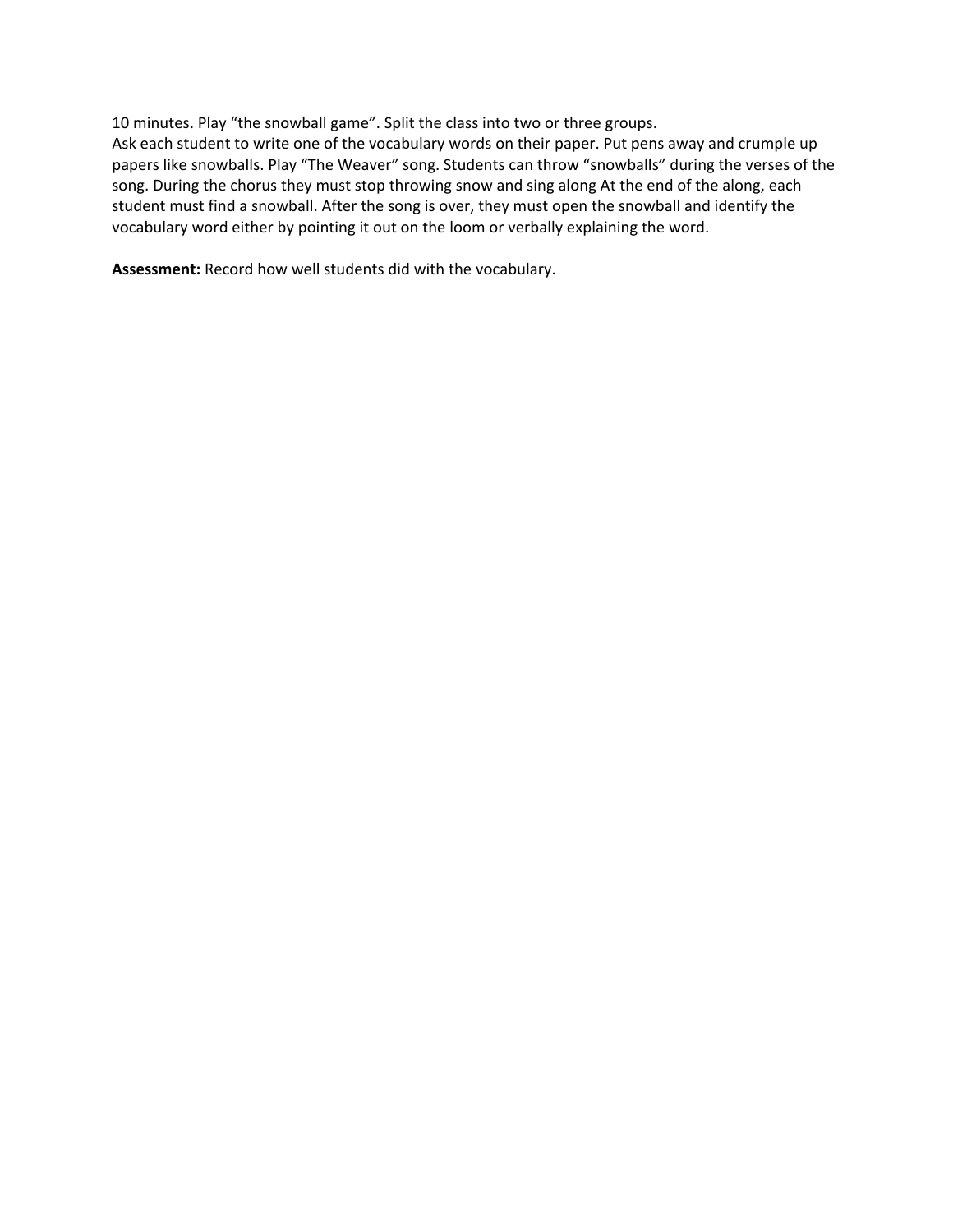10 minutes. Play "the snowball game". Split the class into two or three groups.

Ask each student to write one of the vocabulary words on their paper. Put pens away and crumple up papers like snowballs. Play "The Weaver" song. Students can throw "snowballs" during the verses of the song. During the chorus they must stop throwing snow and sing along At the end of the along, each student must find a snowball. After the song is over, they must open the snowball and identify the vocabulary word either by pointing it out on the loom or verbally explaining the word.

**Assessment:** Record how well students did with the vocabulary.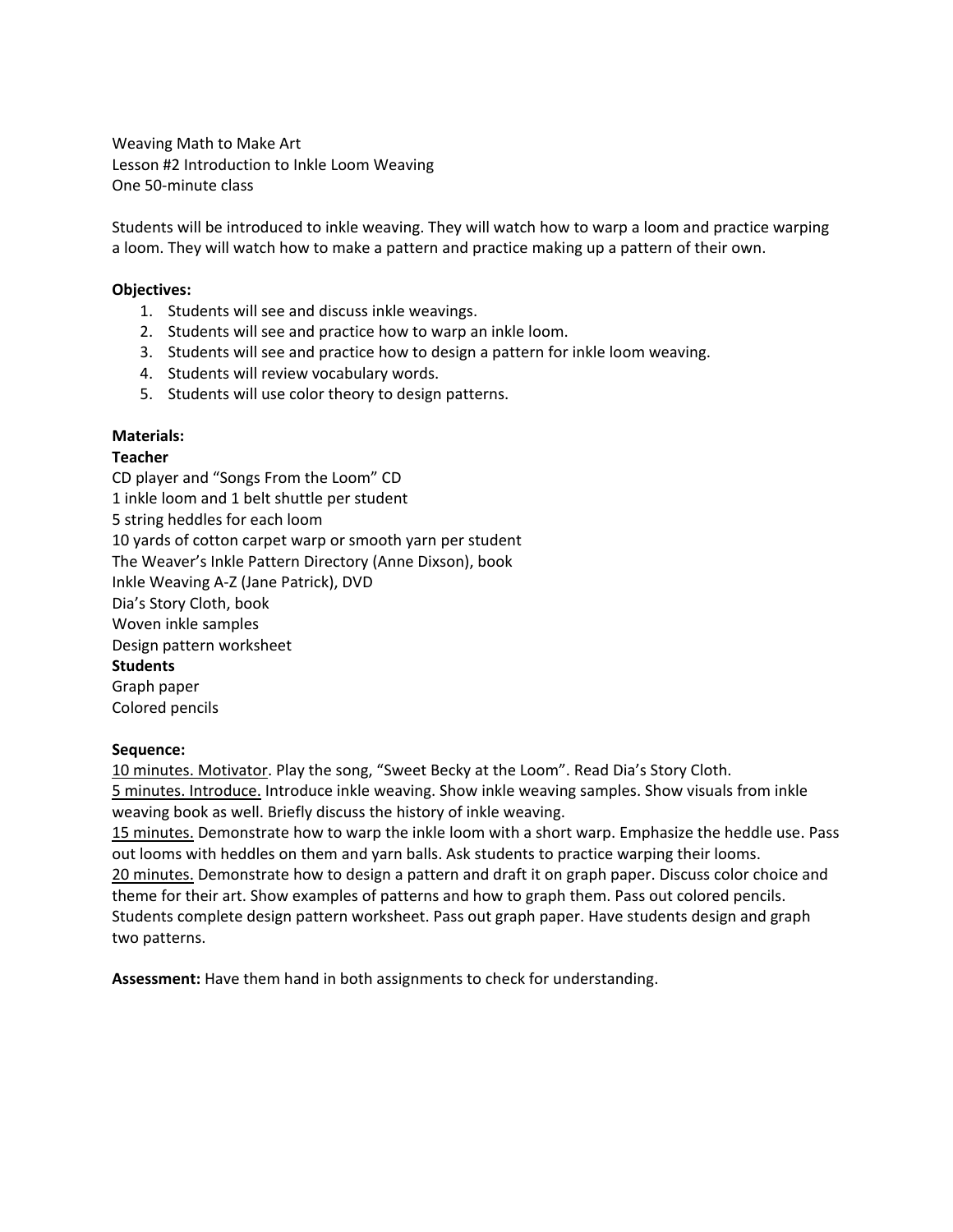Weaving Math to Make Art Lesson #2 Introduction to Inkle Loom Weaving One 50-minute class

Students will be introduced to inkle weaving. They will watch how to warp a loom and practice warping a loom. They will watch how to make a pattern and practice making up a pattern of their own.

#### **Objectives:**

- 1. Students will see and discuss inkle weavings.
- 2. Students will see and practice how to warp an inkle loom.
- 3. Students will see and practice how to design a pattern for inkle loom weaving.
- 4. Students will review vocabulary words.
- 5. Students will use color theory to design patterns.

# **Materials:**

## **Teacher**

CD player and "Songs From the Loom" CD 1 inkle loom and 1 belt shuttle per student 5 string heddles for each loom 10 yards of cotton carpet warp or smooth yarn per student The Weaver's Inkle Pattern Directory (Anne Dixson), book Inkle Weaving A-Z (Jane Patrick), DVD Dia's Story Cloth, book Woven inkle samples Design pattern worksheet **Students**  Graph paper Colored pencils

#### **Sequence:**

10 minutes. Motivator. Play the song, "Sweet Becky at the Loom". Read Dia's Story Cloth. 5 minutes. Introduce. Introduce inkle weaving. Show inkle weaving samples. Show visuals from inkle weaving book as well. Briefly discuss the history of inkle weaving.

15 minutes. Demonstrate how to warp the inkle loom with a short warp. Emphasize the heddle use. Pass out looms with heddles on them and yarn balls. Ask students to practice warping their looms. 20 minutes. Demonstrate how to design a pattern and draft it on graph paper. Discuss color choice and theme for their art. Show examples of patterns and how to graph them. Pass out colored pencils. Students complete design pattern worksheet. Pass out graph paper. Have students design and graph two patterns.

**Assessment:** Have them hand in both assignments to check for understanding.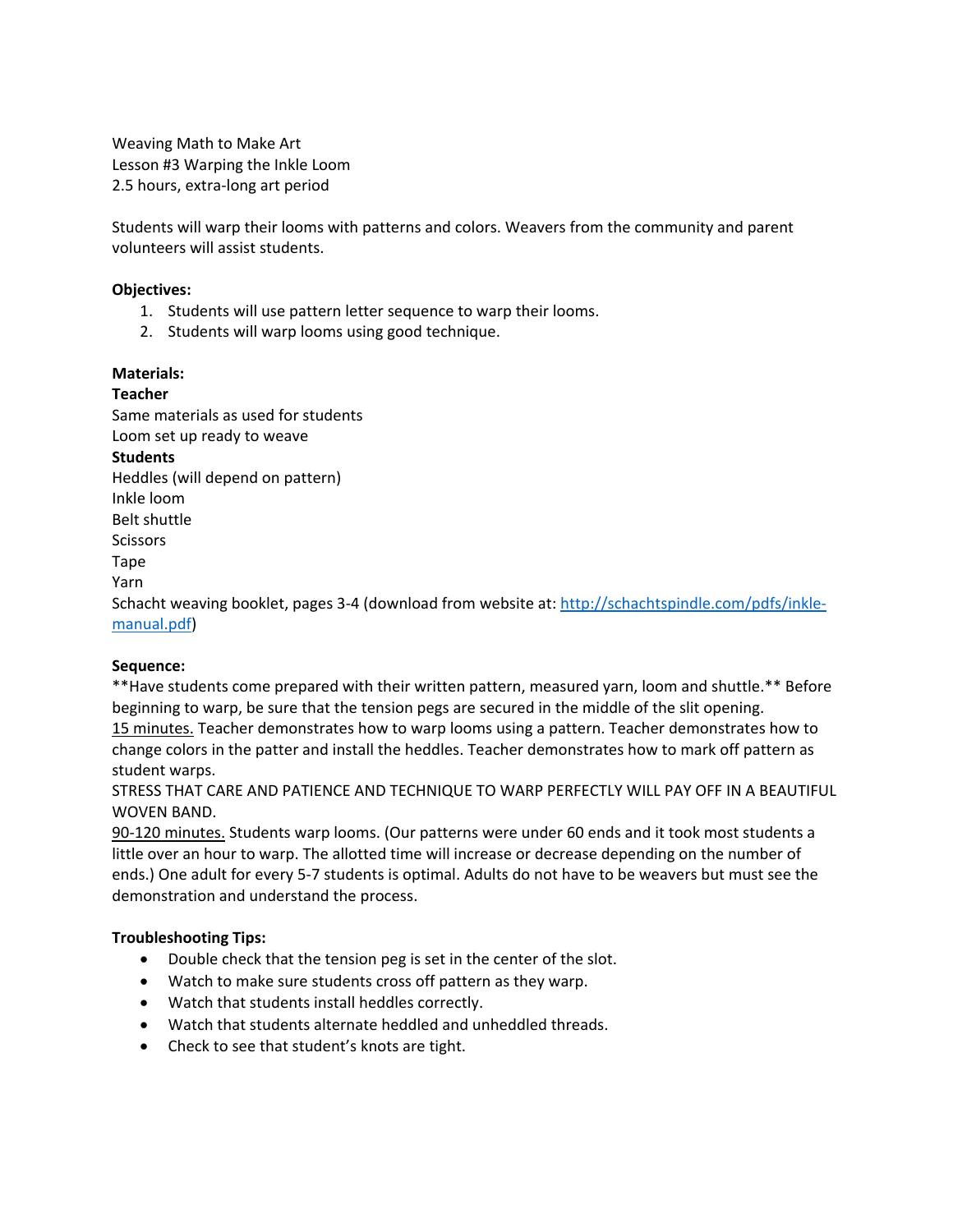Weaving Math to Make Art Lesson #3 Warping the Inkle Loom 2.5 hours, extra-long art period

Students will warp their looms with patterns and colors. Weavers from the community and parent volunteers will assist students.

## **Objectives:**

- 1. Students will use pattern letter sequence to warp their looms.
- 2. Students will warp looms using good technique.

## **Materials:**

**Teacher**  Same materials as used for students Loom set up ready to weave **Students**  Heddles (will depend on pattern) Inkle loom Belt shuttle **Scissors** Tape Yarn Schacht weaving booklet, pages 3-4 (download from website at: [http://schachtspindle.com/pdfs/inkle-](http://schachtspindle.com/pdfs/inkle-manual.pdf)

# [manual.pdf\)](http://schachtspindle.com/pdfs/inkle-manual.pdf)

## **Sequence:**

\*\*Have students come prepared with their written pattern, measured yarn, loom and shuttle.\*\* Before beginning to warp, be sure that the tension pegs are secured in the middle of the slit opening. 15 minutes. Teacher demonstrates how to warp looms using a pattern. Teacher demonstrates how to change colors in the patter and install the heddles. Teacher demonstrates how to mark off pattern as student warps.

STRESS THAT CARE AND PATIENCE AND TECHNIQUE TO WARP PERFECTLY WILL PAY OFF IN A BEAUTIFUL WOVEN BAND.

90-120 minutes. Students warp looms. (Our patterns were under 60 ends and it took most students a little over an hour to warp. The allotted time will increase or decrease depending on the number of ends.) One adult for every 5-7 students is optimal. Adults do not have to be weavers but must see the demonstration and understand the process.

## **Troubleshooting Tips:**

- Double check that the tension peg is set in the center of the slot.
- Watch to make sure students cross off pattern as they warp.
- Watch that students install heddles correctly.
- Watch that students alternate heddled and unheddled threads.
- Check to see that student's knots are tight.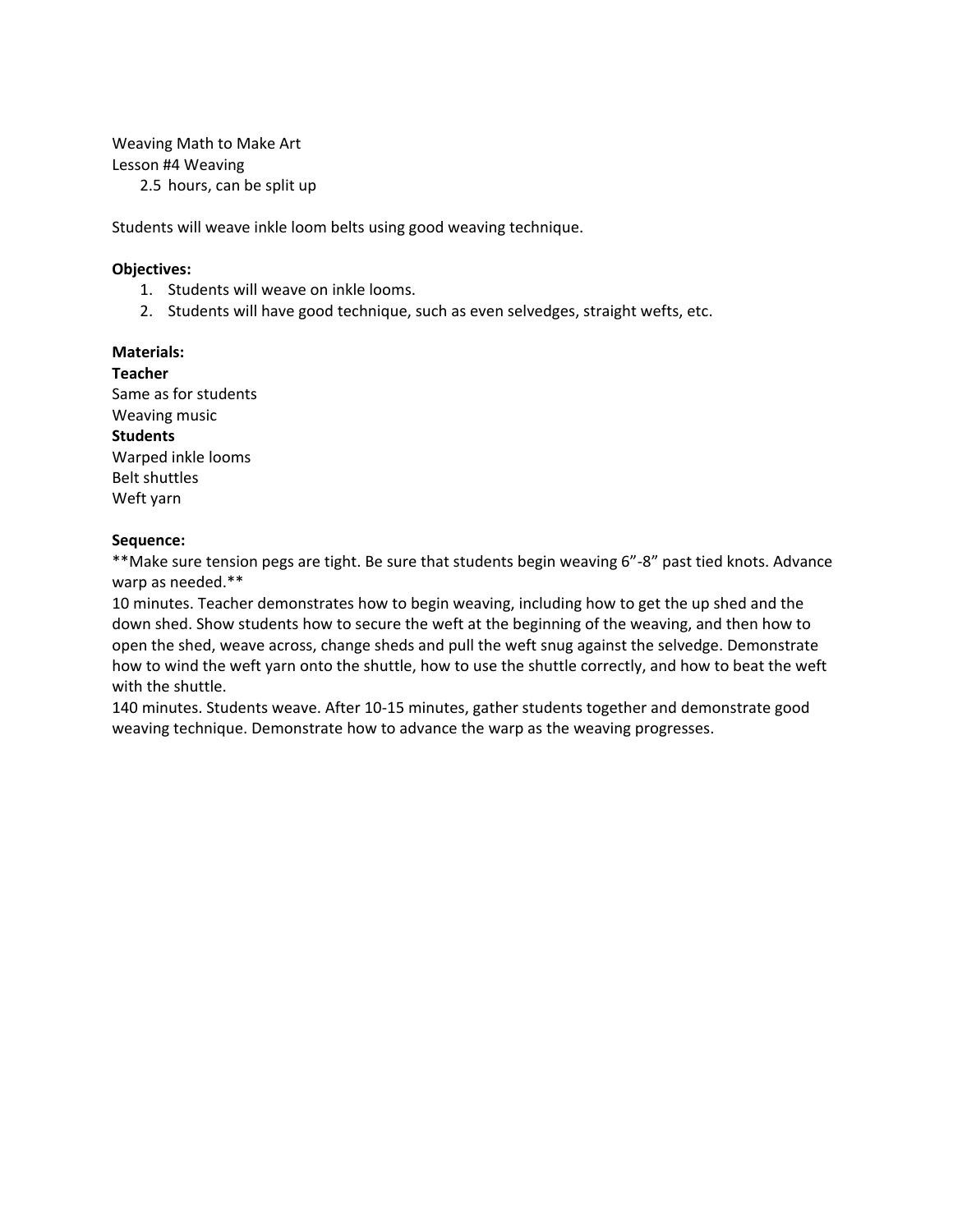Weaving Math to Make Art Lesson #4 Weaving

2.5 hours, can be split up

Students will weave inkle loom belts using good weaving technique.

#### **Objectives:**

- 1. Students will weave on inkle looms.
- 2. Students will have good technique, such as even selvedges, straight wefts, etc.

#### **Materials:**

**Teacher**  Same as for students Weaving music **Students**  Warped inkle looms Belt shuttles Weft yarn

#### **Sequence:**

\*\*Make sure tension pegs are tight. Be sure that students begin weaving 6"-8" past tied knots. Advance warp as needed.\*\*

10 minutes. Teacher demonstrates how to begin weaving, including how to get the up shed and the down shed. Show students how to secure the weft at the beginning of the weaving, and then how to open the shed, weave across, change sheds and pull the weft snug against the selvedge. Demonstrate how to wind the weft yarn onto the shuttle, how to use the shuttle correctly, and how to beat the weft with the shuttle.

140 minutes. Students weave. After 10-15 minutes, gather students together and demonstrate good weaving technique. Demonstrate how to advance the warp as the weaving progresses.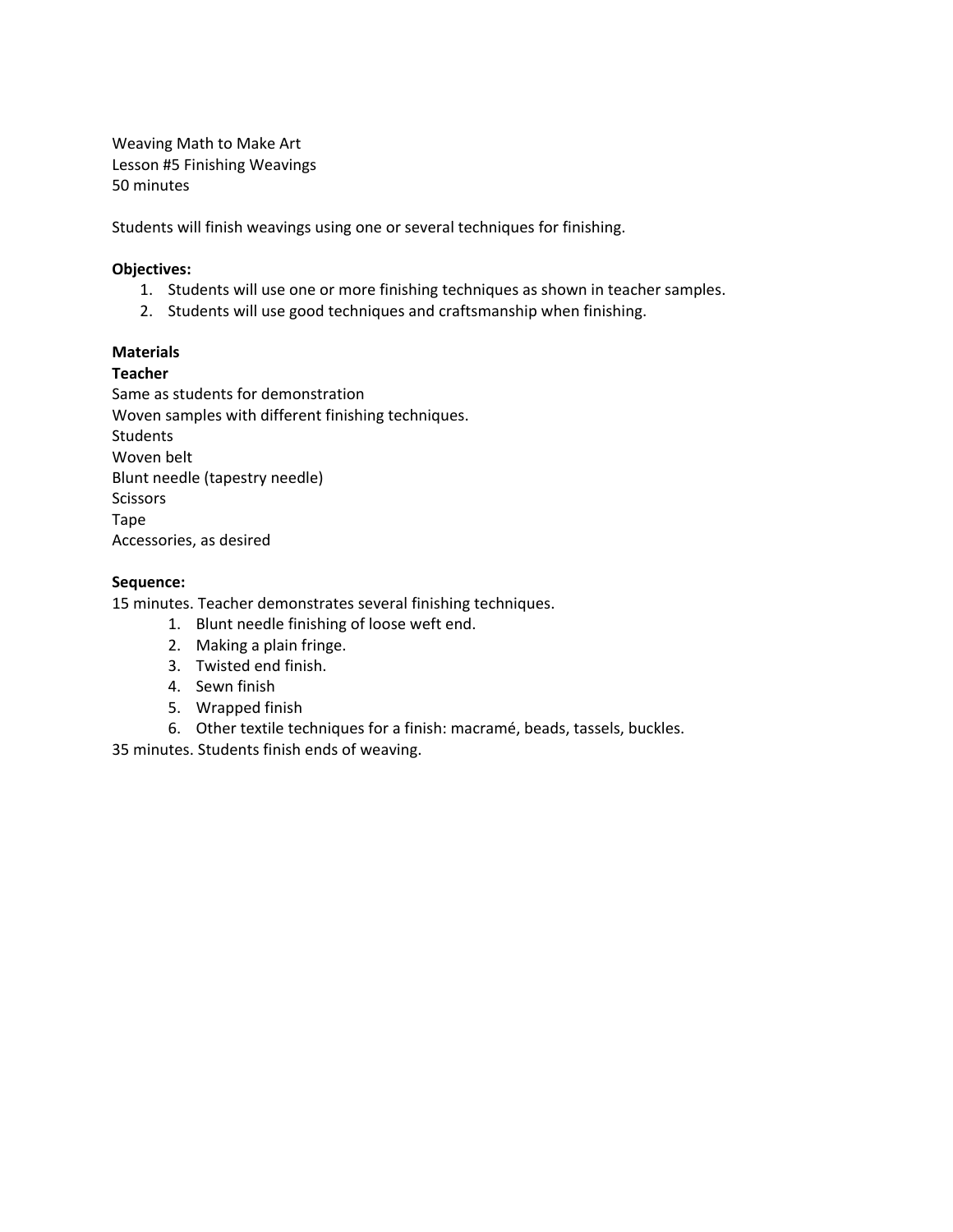Weaving Math to Make Art Lesson #5 Finishing Weavings 50 minutes

Students will finish weavings using one or several techniques for finishing.

## **Objectives:**

- 1. Students will use one or more finishing techniques as shown in teacher samples.
- 2. Students will use good techniques and craftsmanship when finishing.

## **Materials**

## **Teacher**

Same as students for demonstration Woven samples with different finishing techniques. Students Woven belt Blunt needle (tapestry needle) Scissors Tape Accessories, as desired

# **Sequence:**

15 minutes. Teacher demonstrates several finishing techniques.

- 1. Blunt needle finishing of loose weft end.
- 2. Making a plain fringe.
- 3. Twisted end finish.
- 4. Sewn finish
- 5. Wrapped finish
- 6. Other textile techniques for a finish: macramé, beads, tassels, buckles.

35 minutes. Students finish ends of weaving.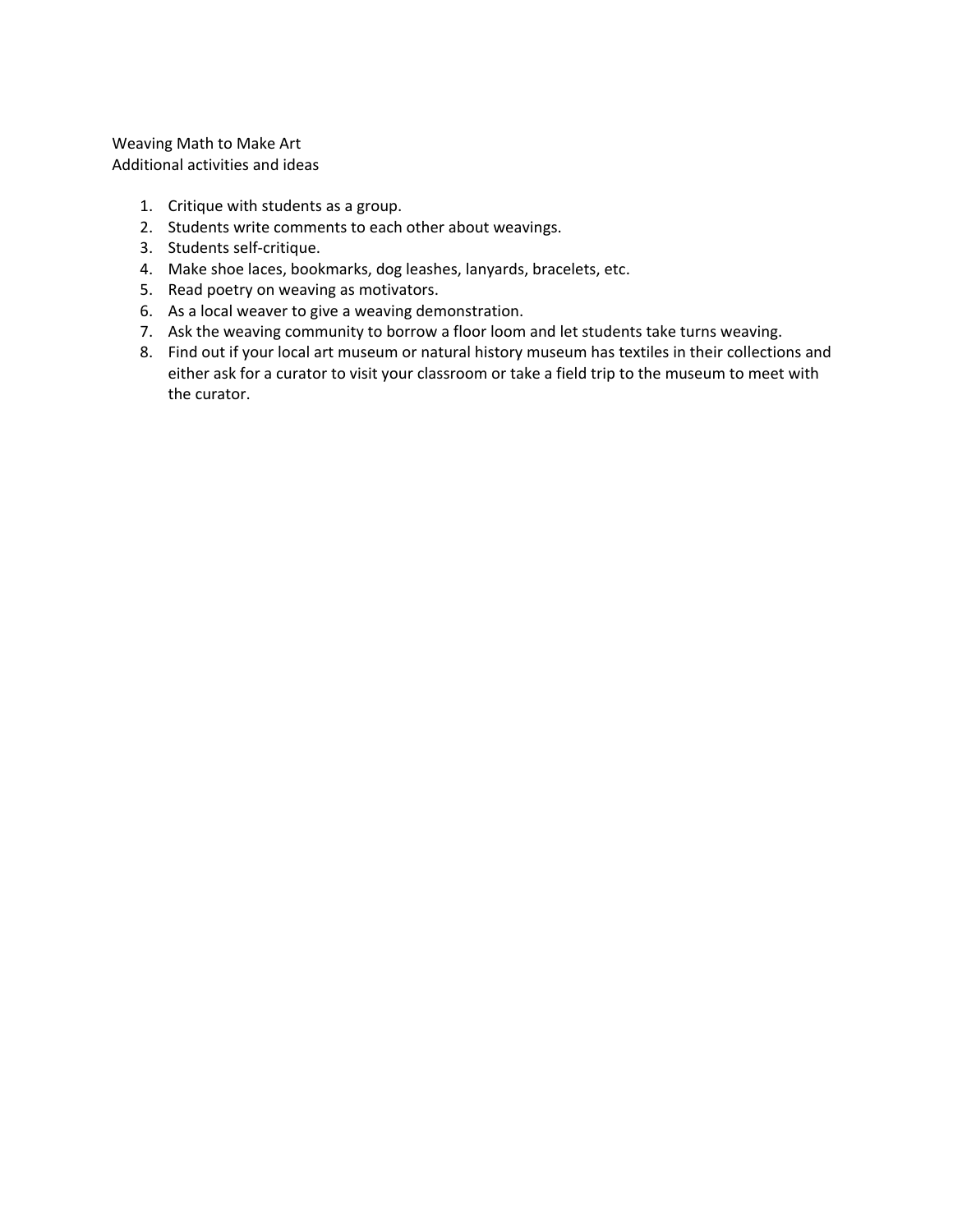Weaving Math to Make Art Additional activities and ideas

- 1. Critique with students as a group.
- 2. Students write comments to each other about weavings.
- 3. Students self-critique.
- 4. Make shoe laces, bookmarks, dog leashes, lanyards, bracelets, etc.
- 5. Read poetry on weaving as motivators.
- 6. As a local weaver to give a weaving demonstration.
- 7. Ask the weaving community to borrow a floor loom and let students take turns weaving.
- 8. Find out if your local art museum or natural history museum has textiles in their collections and either ask for a curator to visit your classroom or take a field trip to the museum to meet with the curator.